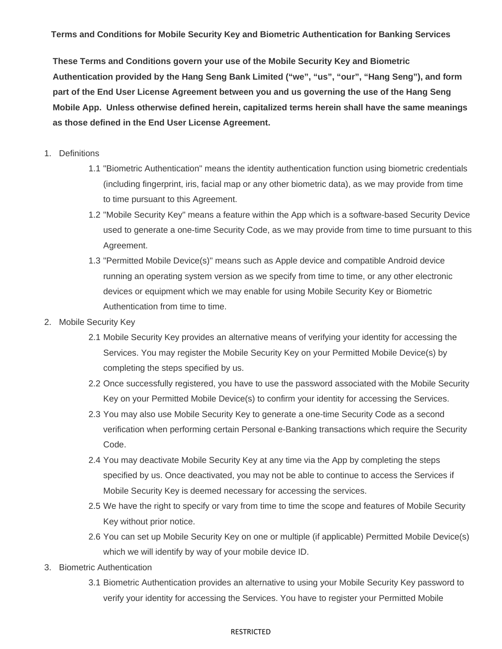**Terms and Conditions for Mobile Security Key and Biometric Authentication for Banking Services** 

**These Terms and Conditions govern your use of the Mobile Security Key and Biometric Authentication provided by the Hang Seng Bank Limited ("we", "us", "our", "Hang Seng"), and form part of the End User License Agreement between you and us governing the use of the Hang Seng Mobile App. Unless otherwise defined herein, capitalized terms herein shall have the same meanings as those defined in the End User License Agreement.** 

- 1. Definitions
	- 1.1 "Biometric Authentication" means the identity authentication function using biometric credentials (including fingerprint, iris, facial map or any other biometric data), as we may provide from time to time pursuant to this Agreement.
	- 1.2 "Mobile Security Key" means a feature within the App which is a software-based Security Device used to generate a one-time Security Code, as we may provide from time to time pursuant to this Agreement.
	- 1.3 "Permitted Mobile Device(s)" means such as Apple device and compatible Android device running an operating system version as we specify from time to time, or any other electronic devices or equipment which we may enable for using Mobile Security Key or Biometric Authentication from time to time.
- 2. Mobile Security Key
	- 2.1 Mobile Security Key provides an alternative means of verifying your identity for accessing the Services. You may register the Mobile Security Key on your Permitted Mobile Device(s) by completing the steps specified by us.
	- 2.2 Once successfully registered, you have to use the password associated with the Mobile Security Key on your Permitted Mobile Device(s) to confirm your identity for accessing the Services.
	- 2.3 You may also use Mobile Security Key to generate a one-time Security Code as a second verification when performing certain Personal e-Banking transactions which require the Security Code.
	- 2.4 You may deactivate Mobile Security Key at any time via the App by completing the steps specified by us. Once deactivated, you may not be able to continue to access the Services if Mobile Security Key is deemed necessary for accessing the services.
	- 2.5 We have the right to specify or vary from time to time the scope and features of Mobile Security Key without prior notice.
	- 2.6 You can set up Mobile Security Key on one or multiple (if applicable) Permitted Mobile Device(s) which we will identify by way of your mobile device ID.
- 3. Biometric Authentication
	- 3.1 Biometric Authentication provides an alternative to using your Mobile Security Key password to verify your identity for accessing the Services. You have to register your Permitted Mobile

## RESTRICTED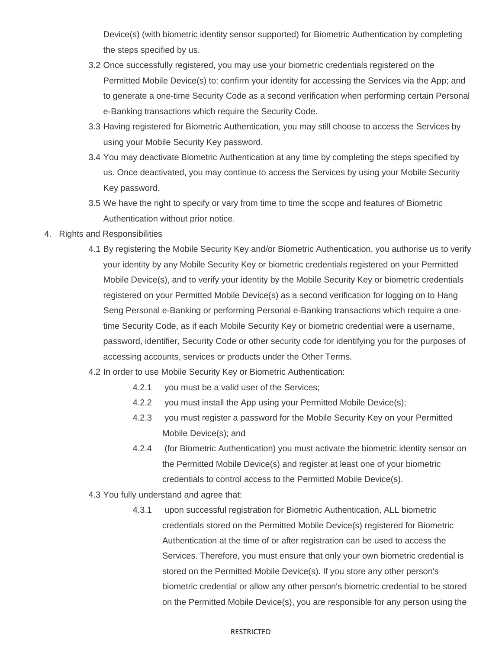Device(s) (with biometric identity sensor supported) for Biometric Authentication by completing the steps specified by us.

- 3.2 Once successfully registered, you may use your biometric credentials registered on the Permitted Mobile Device(s) to: confirm your identity for accessing the Services via the App; and to generate a one-time Security Code as a second verification when performing certain Personal e-Banking transactions which require the Security Code.
- 3.3 Having registered for Biometric Authentication, you may still choose to access the Services by using your Mobile Security Key password.
- 3.4 You may deactivate Biometric Authentication at any time by completing the steps specified by us. Once deactivated, you may continue to access the Services by using your Mobile Security Key password.
- 3.5 We have the right to specify or vary from time to time the scope and features of Biometric Authentication without prior notice.
- 4. Rights and Responsibilities
	- 4.1 By registering the Mobile Security Key and/or Biometric Authentication, you authorise us to verify your identity by any Mobile Security Key or biometric credentials registered on your Permitted Mobile Device(s), and to verify your identity by the Mobile Security Key or biometric credentials registered on your Permitted Mobile Device(s) as a second verification for logging on to Hang Seng Personal e-Banking or performing Personal e-Banking transactions which require a onetime Security Code, as if each Mobile Security Key or biometric credential were a username, password, identifier, Security Code or other security code for identifying you for the purposes of accessing accounts, services or products under the Other Terms.
	- 4.2 In order to use Mobile Security Key or Biometric Authentication:
		- 4.2.1 you must be a valid user of the Services;
		- 4.2.2 you must install the App using your Permitted Mobile Device(s);
		- 4.2.3 you must register a password for the Mobile Security Key on your Permitted Mobile Device(s); and
		- 4.2.4 (for Biometric Authentication) you must activate the biometric identity sensor on the Permitted Mobile Device(s) and register at least one of your biometric credentials to control access to the Permitted Mobile Device(s).
	- 4.3 You fully understand and agree that:
		- 4.3.1 upon successful registration for Biometric Authentication, ALL biometric credentials stored on the Permitted Mobile Device(s) registered for Biometric Authentication at the time of or after registration can be used to access the Services. Therefore, you must ensure that only your own biometric credential is stored on the Permitted Mobile Device(s). If you store any other person's biometric credential or allow any other person's biometric credential to be stored on the Permitted Mobile Device(s), you are responsible for any person using the

## RESTRICTED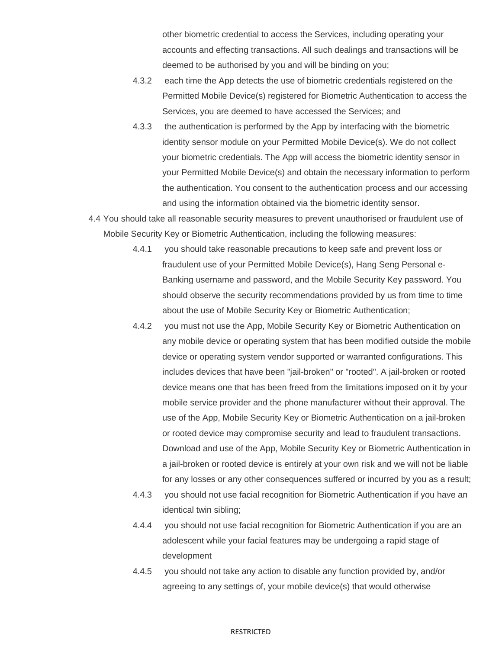other biometric credential to access the Services, including operating your accounts and effecting transactions. All such dealings and transactions will be deemed to be authorised by you and will be binding on you;

- 4.3.2 each time the App detects the use of biometric credentials registered on the Permitted Mobile Device(s) registered for Biometric Authentication to access the Services, you are deemed to have accessed the Services; and
- 4.3.3 the authentication is performed by the App by interfacing with the biometric identity sensor module on your Permitted Mobile Device(s). We do not collect your biometric credentials. The App will access the biometric identity sensor in your Permitted Mobile Device(s) and obtain the necessary information to perform the authentication. You consent to the authentication process and our accessing and using the information obtained via the biometric identity sensor.
- 4.4 You should take all reasonable security measures to prevent unauthorised or fraudulent use of Mobile Security Key or Biometric Authentication, including the following measures:
	- 4.4.1 you should take reasonable precautions to keep safe and prevent loss or fraudulent use of your Permitted Mobile Device(s), Hang Seng Personal e-Banking username and password, and the Mobile Security Key password. You should observe the security recommendations provided by us from time to time about the use of Mobile Security Key or Biometric Authentication;
	- 4.4.2 you must not use the App, Mobile Security Key or Biometric Authentication on any mobile device or operating system that has been modified outside the mobile device or operating system vendor supported or warranted configurations. This includes devices that have been "jail-broken" or "rooted". A jail-broken or rooted device means one that has been freed from the limitations imposed on it by your mobile service provider and the phone manufacturer without their approval. The use of the App, Mobile Security Key or Biometric Authentication on a jail-broken or rooted device may compromise security and lead to fraudulent transactions. Download and use of the App, Mobile Security Key or Biometric Authentication in a jail-broken or rooted device is entirely at your own risk and we will not be liable for any losses or any other consequences suffered or incurred by you as a result;
	- 4.4.3 you should not use facial recognition for Biometric Authentication if you have an identical twin sibling;
	- 4.4.4 you should not use facial recognition for Biometric Authentication if you are an adolescent while your facial features may be undergoing a rapid stage of development
	- 4.4.5 you should not take any action to disable any function provided by, and/or agreeing to any settings of, your mobile device(s) that would otherwise

## RESTRICTED